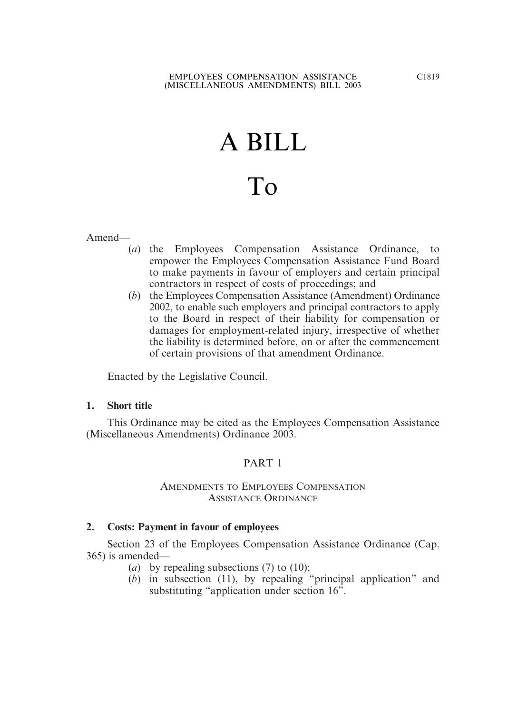# A BILL

# To

Amend—

- (*a*) the Employees Compensation Assistance Ordinance, to empower the Employees Compensation Assistance Fund Board to make payments in favour of employers and certain principal contractors in respect of costs of proceedings; and
- (*b*) the Employees Compensation Assistance (Amendment) Ordinance 2002, to enable such employers and principal contractors to apply to the Board in respect of their liability for compensation or damages for employment-related injury, irrespective of whether the liability is determined before, on or after the commencement of certain provisions of that amendment Ordinance.

Enacted by the Legislative Council.

# **1. Short title**

This Ordinance may be cited as the Employees Compensation Assistance (Miscellaneous Amendments) Ordinance 2003.

# PART 1

# AMENDMENTS TO EMPLOYEES COMPENSATION ASSISTANCE ORDINANCE

# **2. Costs: Payment in favour of employees**

Section 23 of the Employees Compensation Assistance Ordinance (Cap. 365) is amended—

- (*a*) by repealing subsections (7) to (10);
- (*b*) in subsection (11), by repealing "principal application" and substituting "application under section 16".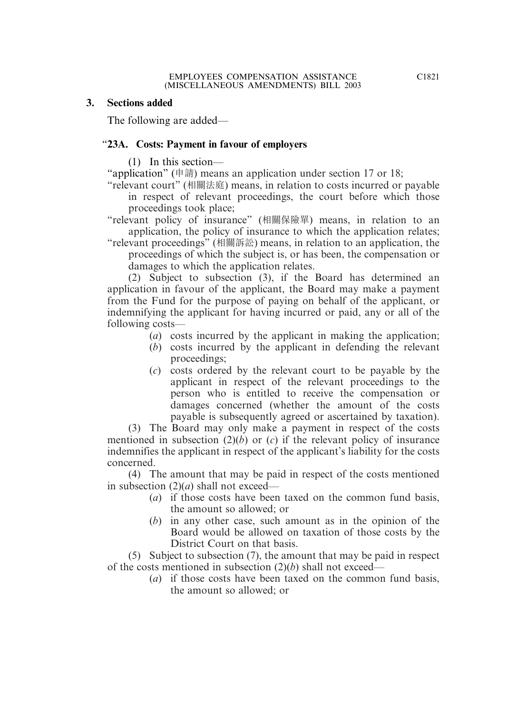# **3. Sections added**

The following are added—

# "**23A. Costs: Payment in favour of employers**

(1) In this section—

"application" (申請) means an application under section 17 or 18;

"relevant court" (相關法庭) means, in relation to costs incurred or payable in respect of relevant proceedings, the court before which those proceedings took place;

"relevant policy of insurance" (相關保險單) means, in relation to an application, the policy of insurance to which the application relates;

"relevant proceedings" (相關訴訟) means, in relation to an application, the proceedings of which the subject is, or has been, the compensation or damages to which the application relates.

(2) Subject to subsection (3), if the Board has determined an application in favour of the applicant, the Board may make a payment from the Fund for the purpose of paying on behalf of the applicant, or indemnifying the applicant for having incurred or paid, any or all of the following costs—

- (*a*) costs incurred by the applicant in making the application;
- (*b*) costs incurred by the applicant in defending the relevant proceedings;
- (*c*) costs ordered by the relevant court to be payable by the applicant in respect of the relevant proceedings to the person who is entitled to receive the compensation or damages concerned (whether the amount of the costs payable is subsequently agreed or ascertained by taxation).

(3) The Board may only make a payment in respect of the costs mentioned in subsection  $(2)(b)$  or  $(c)$  if the relevant policy of insurance indemnifies the applicant in respect of the applicant's liability for the costs concerned.

(4) The amount that may be paid in respect of the costs mentioned in subsection (2)(*a*) shall not exceed—

- (*a*) if those costs have been taxed on the common fund basis, the amount so allowed; or
- (*b*) in any other case, such amount as in the opinion of the Board would be allowed on taxation of those costs by the District Court on that basis.

(5) Subject to subsection (7), the amount that may be paid in respect of the costs mentioned in subsection (2)(*b*) shall not exceed—

(*a*) if those costs have been taxed on the common fund basis, the amount so allowed; or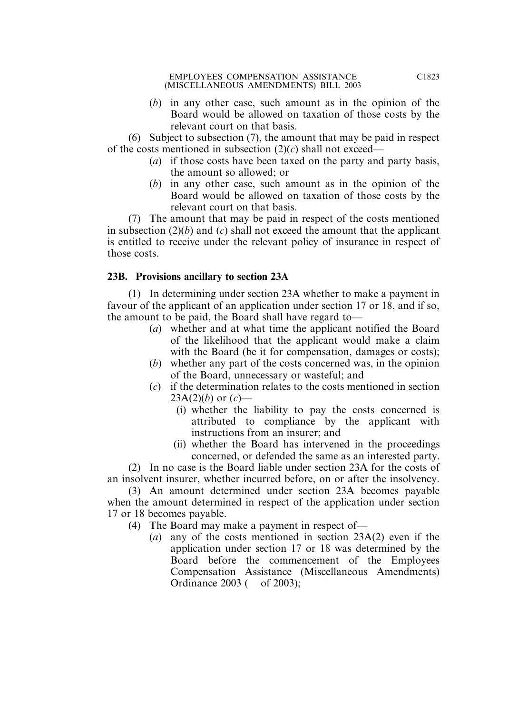(*b*) in any other case, such amount as in the opinion of the Board would be allowed on taxation of those costs by the relevant court on that basis.

(6) Subject to subsection (7), the amount that may be paid in respect of the costs mentioned in subsection (2)(*c*) shall not exceed—

- (*a*) if those costs have been taxed on the party and party basis, the amount so allowed; or
- (*b*) in any other case, such amount as in the opinion of the Board would be allowed on taxation of those costs by the relevant court on that basis.

(7) The amount that may be paid in respect of the costs mentioned in subsection (2)(*b*) and (*c*) shall not exceed the amount that the applicant is entitled to receive under the relevant policy of insurance in respect of those costs.

# **23B. Provisions ancillary to section 23A**

(1) In determining under section 23A whether to make a payment in favour of the applicant of an application under section 17 or 18, and if so, the amount to be paid, the Board shall have regard to—

- (*a*) whether and at what time the applicant notified the Board of the likelihood that the applicant would make a claim with the Board (be it for compensation, damages or costs);
- (*b*) whether any part of the costs concerned was, in the opinion of the Board, unnecessary or wasteful; and
- (*c*) if the determination relates to the costs mentioned in section  $23A(2)(b)$  or  $(c)$ —
	- (i) whether the liability to pay the costs concerned is attributed to compliance by the applicant with instructions from an insurer; and
	- (ii) whether the Board has intervened in the proceedings concerned, or defended the same as an interested party.

(2) In no case is the Board liable under section 23A for the costs of an insolvent insurer, whether incurred before, on or after the insolvency.

(3) An amount determined under section 23A becomes payable when the amount determined in respect of the application under section 17 or 18 becomes payable.

- (4) The Board may make a payment in respect of—
	- (*a*) any of the costs mentioned in section 23A(2) even if the application under section 17 or 18 was determined by the Board before the commencement of the Employees Compensation Assistance (Miscellaneous Amendments) Ordinance 2003 ( of 2003):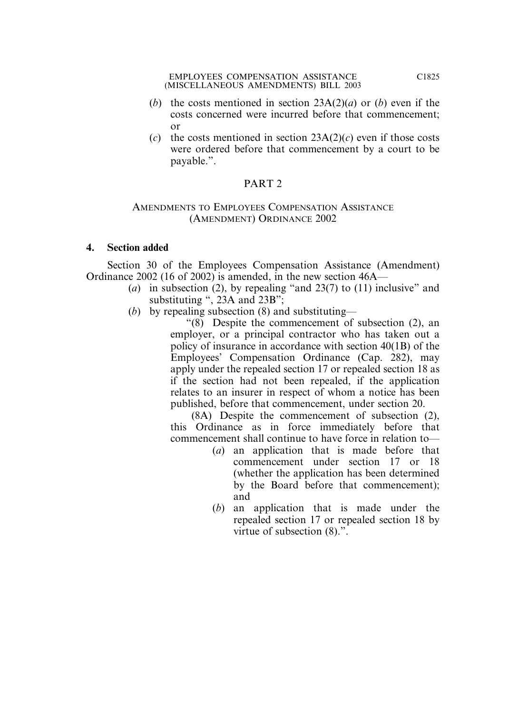- (*b*) the costs mentioned in section 23A(2)(*a*) or (*b*) even if the costs concerned were incurred before that commencement; or
- (*c*) the costs mentioned in section  $23A(2)(c)$  even if those costs were ordered before that commencement by a court to be payable.".

# PART 2

#### AMENDMENTS TO EMPLOYEES COMPENSATION ASSISTANCE (AMENDMENT) ORDINANCE 2002

# **4. Section added**

Section 30 of the Employees Compensation Assistance (Amendment) Ordinance 2002 (16 of 2002) is amended, in the new section 46A—

- (*a*) in subsection (2), by repealing "and 23(7) to (11) inclusive" and substituting ", 23A and 23B";
- (*b*) by repealing subsection (8) and substituting—

"(8) Despite the commencement of subsection (2), an employer, or a principal contractor who has taken out a policy of insurance in accordance with section 40(1B) of the Employees' Compensation Ordinance (Cap. 282), may apply under the repealed section 17 or repealed section 18 as if the section had not been repealed, if the application relates to an insurer in respect of whom a notice has been published, before that commencement, under section 20.

(8A) Despite the commencement of subsection (2), this Ordinance as in force immediately before that commencement shall continue to have force in relation to—

- (*a*) an application that is made before that commencement under section 17 or 18 (whether the application has been determined by the Board before that commencement); and
- (*b*) an application that is made under the repealed section 17 or repealed section 18 by virtue of subsection (8).".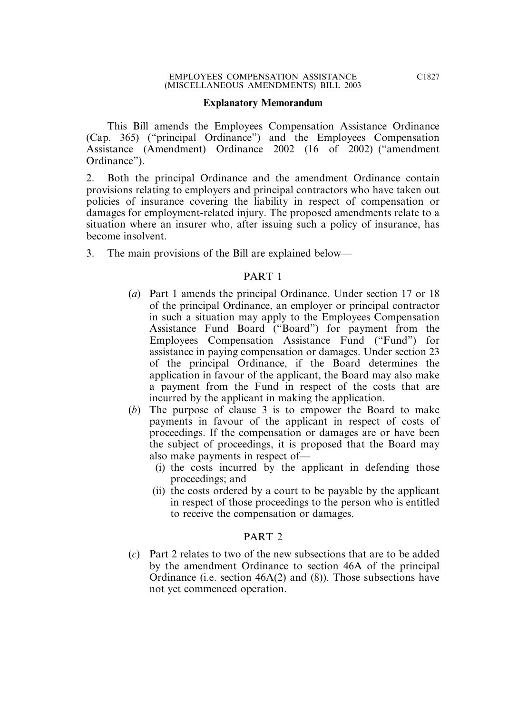#### **Explanatory Memorandum**

This Bill amends the Employees Compensation Assistance Ordinance (Cap. 365) ("principal Ordinance") and the Employees Compensation Assistance (Amendment) Ordinance 2002 (16 of 2002) ("amendment Ordinance").

2. Both the principal Ordinance and the amendment Ordinance contain provisions relating to employers and principal contractors who have taken out policies of insurance covering the liability in respect of compensation or damages for employment-related injury. The proposed amendments relate to a situation where an insurer who, after issuing such a policy of insurance, has become insolvent.

3. The main provisions of the Bill are explained below—

# PART 1

- (*a*) Part 1 amends the principal Ordinance. Under section 17 or 18 of the principal Ordinance, an employer or principal contractor in such a situation may apply to the Employees Compensation Assistance Fund Board ("Board") for payment from the Employees Compensation Assistance Fund ("Fund") for assistance in paying compensation or damages. Under section 23 of the principal Ordinance, if the Board determines the application in favour of the applicant, the Board may also make a payment from the Fund in respect of the costs that are incurred by the applicant in making the application.
- (*b*) The purpose of clause 3 is to empower the Board to make payments in favour of the applicant in respect of costs of proceedings. If the compensation or damages are or have been the subject of proceedings, it is proposed that the Board may also make payments in respect of—
	- (i) the costs incurred by the applicant in defending those proceedings; and
	- (ii) the costs ordered by a court to be payable by the applicant in respect of those proceedings to the person who is entitled to receive the compensation or damages.

# PART 2

(*c*) Part 2 relates to two of the new subsections that are to be added by the amendment Ordinance to section 46A of the principal Ordinance (i.e. section 46A(2) and (8)). Those subsections have not yet commenced operation.